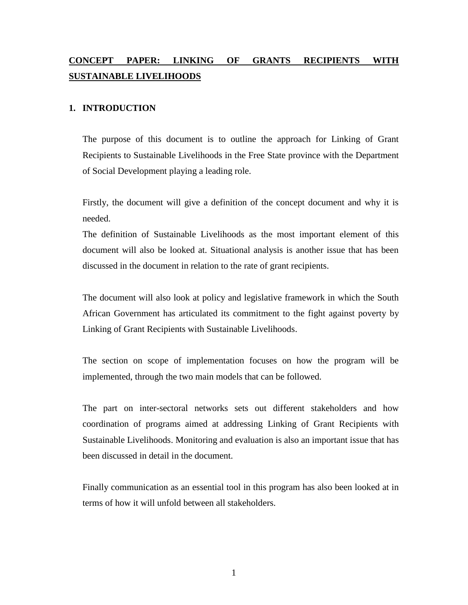# **CONCEPT PAPER: LINKING OF GRANTS RECIPIENTS WITH SUSTAINABLE LIVELIHOODS**

### **1. INTRODUCTION**

The purpose of this document is to outline the approach for Linking of Grant Recipients to Sustainable Livelihoods in the Free State province with the Department of Social Development playing a leading role.

Firstly, the document will give a definition of the concept document and why it is needed.

The definition of Sustainable Livelihoods as the most important element of this document will also be looked at. Situational analysis is another issue that has been discussed in the document in relation to the rate of grant recipients.

The document will also look at policy and legislative framework in which the South African Government has articulated its commitment to the fight against poverty by Linking of Grant Recipients with Sustainable Livelihoods.

The section on scope of implementation focuses on how the program will be implemented, through the two main models that can be followed.

The part on inter-sectoral networks sets out different stakeholders and how coordination of programs aimed at addressing Linking of Grant Recipients with Sustainable Livelihoods. Monitoring and evaluation is also an important issue that has been discussed in detail in the document.

Finally communication as an essential tool in this program has also been looked at in terms of how it will unfold between all stakeholders.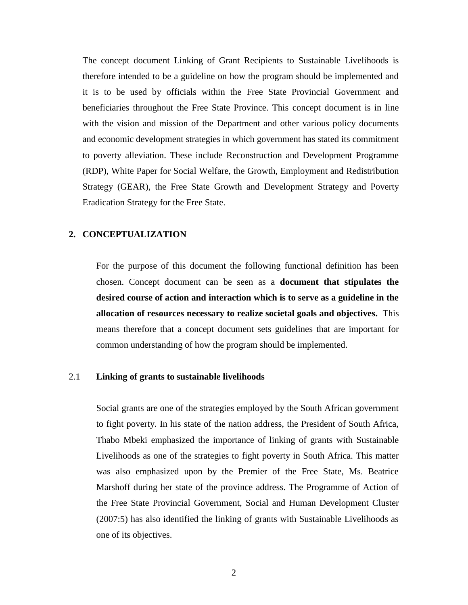The concept document Linking of Grant Recipients to Sustainable Livelihoods is therefore intended to be a guideline on how the program should be implemented and it is to be used by officials within the Free State Provincial Government and beneficiaries throughout the Free State Province. This concept document is in line with the vision and mission of the Department and other various policy documents and economic development strategies in which government has stated its commitment to poverty alleviation. These include Reconstruction and Development Programme (RDP), White Paper for Social Welfare, the Growth, Employment and Redistribution Strategy (GEAR), the Free State Growth and Development Strategy and Poverty Eradication Strategy for the Free State.

#### **2. CONCEPTUALIZATION**

 For the purpose of this document the following functional definition has been chosen. Concept document can be seen as a **document that stipulates the desired course of action and interaction which is to serve as a guideline in the allocation of resources necessary to realize societal goals and objectives.** This means therefore that a concept document sets guidelines that are important for common understanding of how the program should be implemented.

#### 2.1 **Linking of grants to sustainable livelihoods**

Social grants are one of the strategies employed by the South African government to fight poverty. In his state of the nation address, the President of South Africa, Thabo Mbeki emphasized the importance of linking of grants with Sustainable Livelihoods as one of the strategies to fight poverty in South Africa. This matter was also emphasized upon by the Premier of the Free State, Ms. Beatrice Marshoff during her state of the province address. The Programme of Action of the Free State Provincial Government, Social and Human Development Cluster (2007:5) has also identified the linking of grants with Sustainable Livelihoods as one of its objectives.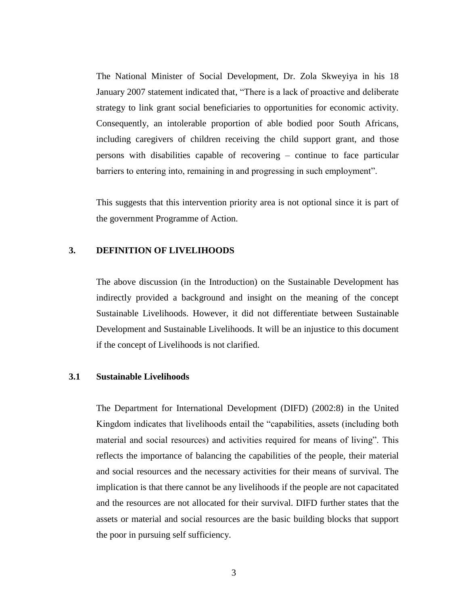The National Minister of Social Development, Dr. Zola Skweyiya in his 18 January 2007 statement indicated that, "There is a lack of proactive and deliberate strategy to link grant social beneficiaries to opportunities for economic activity. Consequently, an intolerable proportion of able bodied poor South Africans, including caregivers of children receiving the child support grant, and those persons with disabilities capable of recovering – continue to face particular barriers to entering into, remaining in and progressing in such employment".

This suggests that this intervention priority area is not optional since it is part of the government Programme of Action.

## **3. DEFINITION OF LIVELIHOODS**

The above discussion (in the Introduction) on the Sustainable Development has indirectly provided a background and insight on the meaning of the concept Sustainable Livelihoods. However, it did not differentiate between Sustainable Development and Sustainable Livelihoods. It will be an injustice to this document if the concept of Livelihoods is not clarified.

#### **3.1 Sustainable Livelihoods**

The Department for International Development (DIFD) (2002:8) in the United Kingdom indicates that livelihoods entail the "capabilities, assets (including both material and social resources) and activities required for means of living". This reflects the importance of balancing the capabilities of the people, their material and social resources and the necessary activities for their means of survival. The implication is that there cannot be any livelihoods if the people are not capacitated and the resources are not allocated for their survival. DIFD further states that the assets or material and social resources are the basic building blocks that support the poor in pursuing self sufficiency.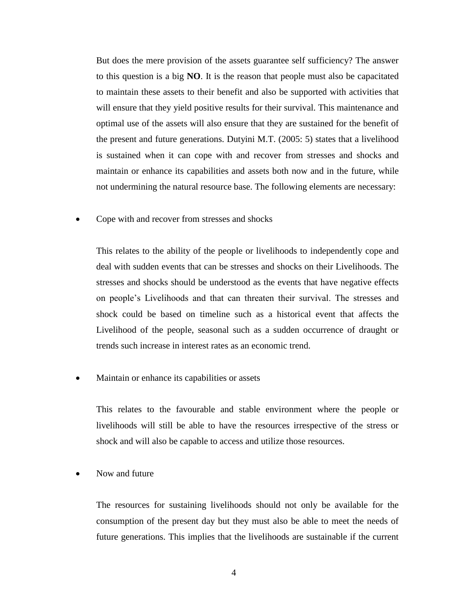But does the mere provision of the assets guarantee self sufficiency? The answer to this question is a big **NO**. It is the reason that people must also be capacitated to maintain these assets to their benefit and also be supported with activities that will ensure that they yield positive results for their survival. This maintenance and optimal use of the assets will also ensure that they are sustained for the benefit of the present and future generations. Dutyini M.T. (2005: 5) states that a livelihood is sustained when it can cope with and recover from stresses and shocks and maintain or enhance its capabilities and assets both now and in the future, while not undermining the natural resource base. The following elements are necessary:

Cope with and recover from stresses and shocks

This relates to the ability of the people or livelihoods to independently cope and deal with sudden events that can be stresses and shocks on their Livelihoods. The stresses and shocks should be understood as the events that have negative effects on people's Livelihoods and that can threaten their survival. The stresses and shock could be based on timeline such as a historical event that affects the Livelihood of the people, seasonal such as a sudden occurrence of draught or trends such increase in interest rates as an economic trend.

Maintain or enhance its capabilities or assets

This relates to the favourable and stable environment where the people or livelihoods will still be able to have the resources irrespective of the stress or shock and will also be capable to access and utilize those resources.

Now and future

The resources for sustaining livelihoods should not only be available for the consumption of the present day but they must also be able to meet the needs of future generations. This implies that the livelihoods are sustainable if the current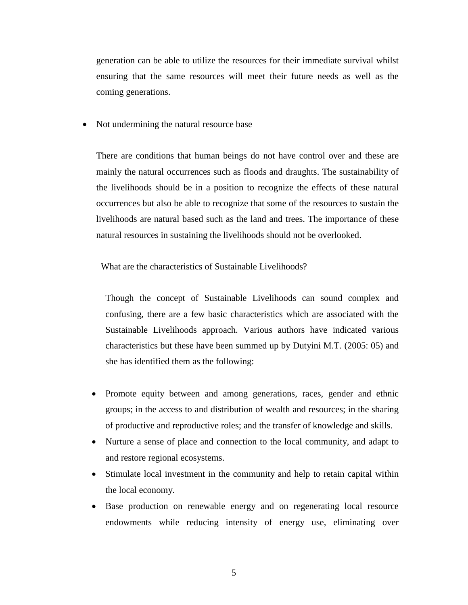generation can be able to utilize the resources for their immediate survival whilst ensuring that the same resources will meet their future needs as well as the coming generations.

• Not undermining the natural resource base

There are conditions that human beings do not have control over and these are mainly the natural occurrences such as floods and draughts. The sustainability of the livelihoods should be in a position to recognize the effects of these natural occurrences but also be able to recognize that some of the resources to sustain the livelihoods are natural based such as the land and trees. The importance of these natural resources in sustaining the livelihoods should not be overlooked.

What are the characteristics of Sustainable Livelihoods?

Though the concept of Sustainable Livelihoods can sound complex and confusing, there are a few basic characteristics which are associated with the Sustainable Livelihoods approach. Various authors have indicated various characteristics but these have been summed up by Dutyini M.T. (2005: 05) and she has identified them as the following:

- Promote equity between and among generations, races, gender and ethnic groups; in the access to and distribution of wealth and resources; in the sharing of productive and reproductive roles; and the transfer of knowledge and skills.
- Nurture a sense of place and connection to the local community, and adapt to and restore regional ecosystems.
- Stimulate local investment in the community and help to retain capital within the local economy.
- Base production on renewable energy and on regenerating local resource endowments while reducing intensity of energy use, eliminating over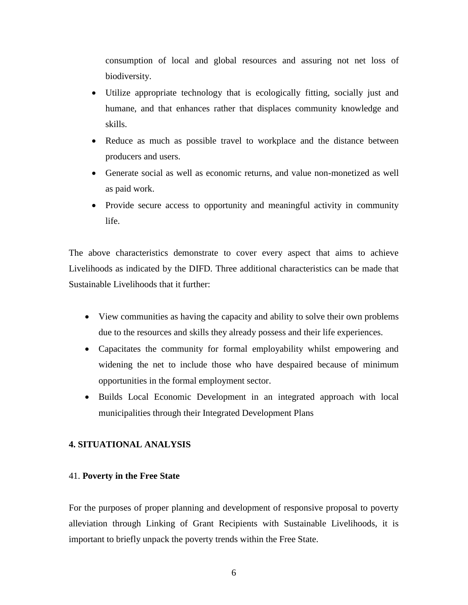consumption of local and global resources and assuring not net loss of biodiversity.

- Utilize appropriate technology that is ecologically fitting, socially just and humane, and that enhances rather that displaces community knowledge and skills.
- Reduce as much as possible travel to workplace and the distance between producers and users.
- Generate social as well as economic returns, and value non-monetized as well as paid work.
- Provide secure access to opportunity and meaningful activity in community life.

The above characteristics demonstrate to cover every aspect that aims to achieve Livelihoods as indicated by the DIFD. Three additional characteristics can be made that Sustainable Livelihoods that it further:

- View communities as having the capacity and ability to solve their own problems due to the resources and skills they already possess and their life experiences.
- Capacitates the community for formal employability whilst empowering and widening the net to include those who have despaired because of minimum opportunities in the formal employment sector.
- Builds Local Economic Development in an integrated approach with local municipalities through their Integrated Development Plans

## **4. SITUATIONAL ANALYSIS**

### 41. **Poverty in the Free State**

For the purposes of proper planning and development of responsive proposal to poverty alleviation through Linking of Grant Recipients with Sustainable Livelihoods, it is important to briefly unpack the poverty trends within the Free State.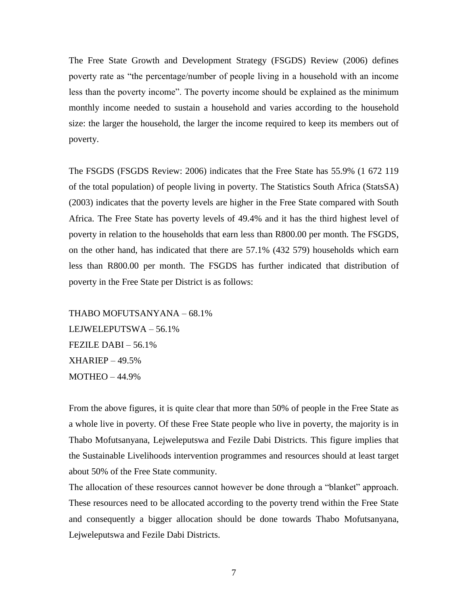The Free State Growth and Development Strategy (FSGDS) Review (2006) defines poverty rate as "the percentage/number of people living in a household with an income less than the poverty income". The poverty income should be explained as the minimum monthly income needed to sustain a household and varies according to the household size: the larger the household, the larger the income required to keep its members out of poverty.

The FSGDS (FSGDS Review: 2006) indicates that the Free State has 55.9% (1 672 119 of the total population) of people living in poverty. The Statistics South Africa (StatsSA) (2003) indicates that the poverty levels are higher in the Free State compared with South Africa. The Free State has poverty levels of 49.4% and it has the third highest level of poverty in relation to the households that earn less than R800.00 per month. The FSGDS, on the other hand, has indicated that there are 57.1% (432 579) households which earn less than R800.00 per month. The FSGDS has further indicated that distribution of poverty in the Free State per District is as follows:

THABO MOFUTSANYANA – 68.1% LEJWELEPUTSWA – 56.1% FEZILE DABI – 56.1% XHARIEP – 49.5% MOTHEO – 44.9%

From the above figures, it is quite clear that more than 50% of people in the Free State as a whole live in poverty. Of these Free State people who live in poverty, the majority is in Thabo Mofutsanyana, Lejweleputswa and Fezile Dabi Districts. This figure implies that the Sustainable Livelihoods intervention programmes and resources should at least target about 50% of the Free State community.

The allocation of these resources cannot however be done through a "blanket" approach. These resources need to be allocated according to the poverty trend within the Free State and consequently a bigger allocation should be done towards Thabo Mofutsanyana, Lejweleputswa and Fezile Dabi Districts.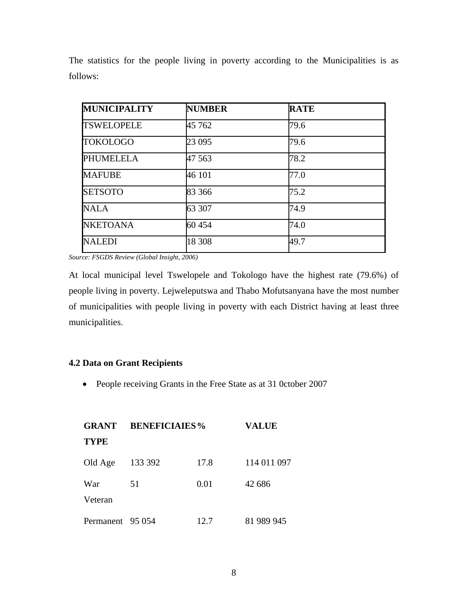| <b>MUNICIPALITY</b> | <b>NUMBER</b> | <b>RATE</b> |
|---------------------|---------------|-------------|
| <b>TSWELOPELE</b>   | 45 762        | 79.6        |
| <b>TOKOLOGO</b>     | 23 0 95       | 79.6        |
| <b>PHUMELELA</b>    | 47 563        | 78.2        |
| <b>MAFUBE</b>       | 46 101        | 77.0        |
| <b>SETSOTO</b>      | 83 366        | 75.2        |
| <b>NALA</b>         | 63 307        | 74.9        |
| <b>NKETOANA</b>     | 60 454        | 74.0        |
| <b>NALEDI</b>       | 18 308        | 49.7        |

The statistics for the people living in poverty according to the Municipalities is as follows:

*Source: FSGDS Review (Global Insight, 2006)* 

At local municipal level Tswelopele and Tokologo have the highest rate (79.6%) of people living in poverty. Lejweleputswa and Thabo Mofutsanyana have the most number of municipalities with people living in poverty with each District having at least three municipalities.

## **4.2 Data on Grant Recipients**

• People receiving Grants in the Free State as at 31 0ctober 2007

| <b>GRANT</b>     | <b>BENEFICIAIES%</b> |      | <b>VALUE</b> |  |  |
|------------------|----------------------|------|--------------|--|--|
| <b>TYPE</b>      |                      |      |              |  |  |
| Old Age          | 133 392              | 17.8 | 114 011 097  |  |  |
| War<br>Veteran   | 51                   | 0.01 | 42 686       |  |  |
| Permanent 95 054 |                      | 12.7 | 81 989 945   |  |  |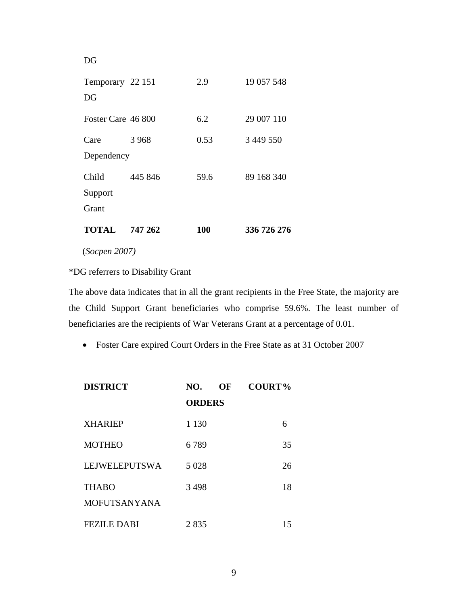| <b>TOTAL</b>           | 747 262 | <b>100</b> | 336 726 276 |
|------------------------|---------|------------|-------------|
| Grant                  |         |            |             |
| Support                |         |            |             |
| Child                  | 445 846 | 59.6       | 89 168 340  |
| Dependency             |         |            |             |
| Care                   | 3 9 6 8 | 0.53       | 3 449 550   |
| Foster Care 46 800     |         | 6.2        | 29 007 110  |
| Temporary 22 151<br>DG |         | 2.9        | 19 057 548  |
| DG                     |         |            |             |

(*Socpen 2007)*

\*DG referrers to Disability Grant

The above data indicates that in all the grant recipients in the Free State, the majority are the Child Support Grant beneficiaries who comprise 59.6%. The least number of beneficiaries are the recipients of War Veterans Grant at a percentage of 0.01.

Foster Care expired Court Orders in the Free State as at 31 October 2007

| <b>DISTRICT</b>                     | NO.<br>OF     | <b>COURT%</b> |
|-------------------------------------|---------------|---------------|
|                                     | <b>ORDERS</b> |               |
| <b>XHARIEP</b>                      | 1 1 3 0       | 6             |
| <b>MOTHEO</b>                       | 6789          | 35            |
| LEJWELEPUTSWA                       | 5 0 28        | 26            |
| <b>THABO</b><br><b>MOFUTSANYANA</b> | 3498          | 18            |
| <b>FEZILE DABI</b>                  | 2835          | 15            |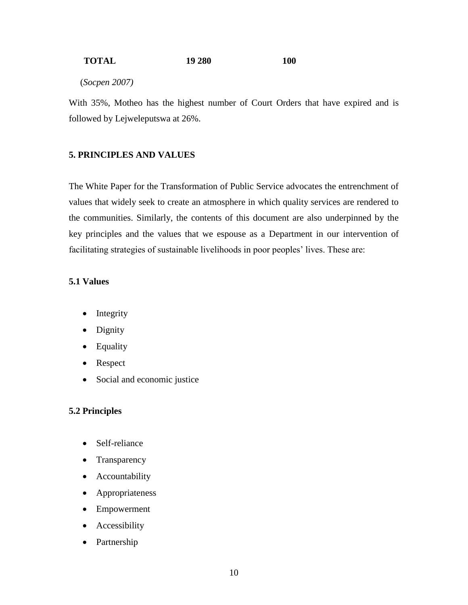### **TOTAL 19 280 100**

(*Socpen 2007)*

With 35%, Motheo has the highest number of Court Orders that have expired and is followed by Lejweleputswa at 26%.

### **5. PRINCIPLES AND VALUES**

The White Paper for the Transformation of Public Service advocates the entrenchment of values that widely seek to create an atmosphere in which quality services are rendered to the communities. Similarly, the contents of this document are also underpinned by the key principles and the values that we espouse as a Department in our intervention of facilitating strategies of sustainable livelihoods in poor peoples' lives. These are:

#### **5.1 Values**

- Integrity
- Dignity
- Equality
- Respect
- Social and economic justice

#### **5.2 Principles**

- Self-reliance
- Transparency
- Accountability
- Appropriateness
- Empowerment
- Accessibility
- Partnership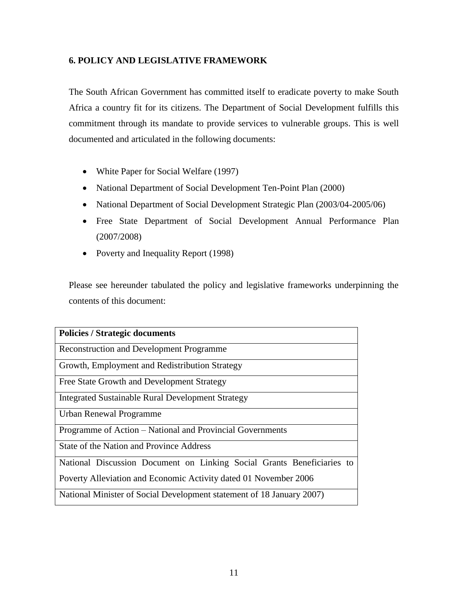## **6. POLICY AND LEGISLATIVE FRAMEWORK**

The South African Government has committed itself to eradicate poverty to make South Africa a country fit for its citizens. The Department of Social Development fulfills this commitment through its mandate to provide services to vulnerable groups. This is well documented and articulated in the following documents:

- White Paper for Social Welfare (1997)
- National Department of Social Development Ten-Point Plan (2000)
- National Department of Social Development Strategic Plan (2003/04-2005/06)
- Free State Department of Social Development Annual Performance Plan (2007/2008)
- Poverty and Inequality Report (1998)

Please see hereunder tabulated the policy and legislative frameworks underpinning the contents of this document:

| <b>Policies / Strategic documents</b>                                  |
|------------------------------------------------------------------------|
|                                                                        |
| <b>Reconstruction and Development Programme</b>                        |
|                                                                        |
| Growth, Employment and Redistribution Strategy                         |
| Free State Growth and Development Strategy                             |
| Integrated Sustainable Rural Development Strategy                      |
| Urban Renewal Programme                                                |
| Programme of Action – National and Provincial Governments              |
| State of the Nation and Province Address                               |
| National Discussion Document on Linking Social Grants Beneficiaries to |
| Poverty Alleviation and Economic Activity dated 01 November 2006       |
| National Minister of Social Development statement of 18 January 2007)  |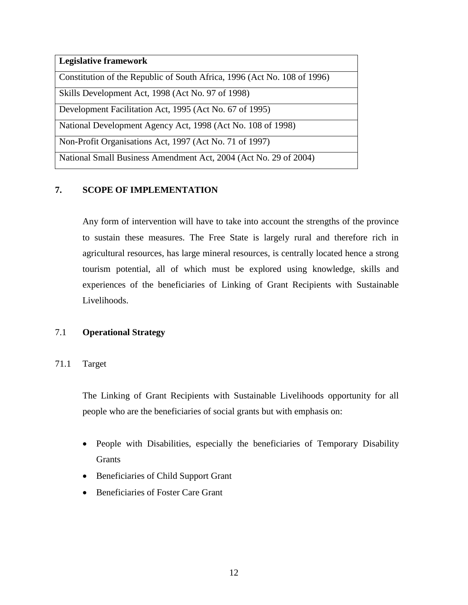| <b>Legislative framework</b>                                             |
|--------------------------------------------------------------------------|
| Constitution of the Republic of South Africa, 1996 (Act No. 108 of 1996) |
| Skills Development Act, 1998 (Act No. 97 of 1998)                        |
| Development Facilitation Act, 1995 (Act No. 67 of 1995)                  |
| National Development Agency Act, 1998 (Act No. 108 of 1998)              |
| Non-Profit Organisations Act, 1997 (Act No. 71 of 1997)                  |
| National Small Business Amendment Act, 2004 (Act No. 29 of 2004)         |

## **7. SCOPE OF IMPLEMENTATION**

Any form of intervention will have to take into account the strengths of the province to sustain these measures. The Free State is largely rural and therefore rich in agricultural resources, has large mineral resources, is centrally located hence a strong tourism potential, all of which must be explored using knowledge, skills and experiences of the beneficiaries of Linking of Grant Recipients with Sustainable Livelihoods.

## 7.1 **Operational Strategy**

71.1 Target

The Linking of Grant Recipients with Sustainable Livelihoods opportunity for all people who are the beneficiaries of social grants but with emphasis on:

- People with Disabilities, especially the beneficiaries of Temporary Disability Grants
- Beneficiaries of Child Support Grant
- Beneficiaries of Foster Care Grant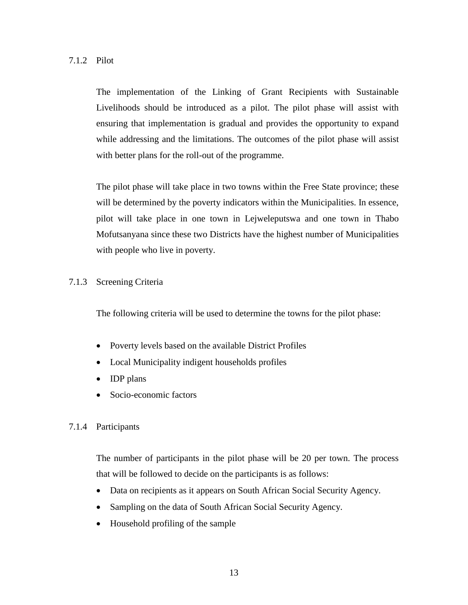The implementation of the Linking of Grant Recipients with Sustainable Livelihoods should be introduced as a pilot. The pilot phase will assist with ensuring that implementation is gradual and provides the opportunity to expand while addressing and the limitations. The outcomes of the pilot phase will assist with better plans for the roll-out of the programme.

The pilot phase will take place in two towns within the Free State province; these will be determined by the poverty indicators within the Municipalities. In essence, pilot will take place in one town in Lejweleputswa and one town in Thabo Mofutsanyana since these two Districts have the highest number of Municipalities with people who live in poverty.

## 7.1.3 Screening Criteria

The following criteria will be used to determine the towns for the pilot phase:

- Poverty levels based on the available District Profiles
- Local Municipality indigent households profiles
- IDP plans
- Socio-economic factors

## 7.1.4 Participants

The number of participants in the pilot phase will be 20 per town. The process that will be followed to decide on the participants is as follows:

- Data on recipients as it appears on South African Social Security Agency.
- Sampling on the data of South African Social Security Agency.
- Household profiling of the sample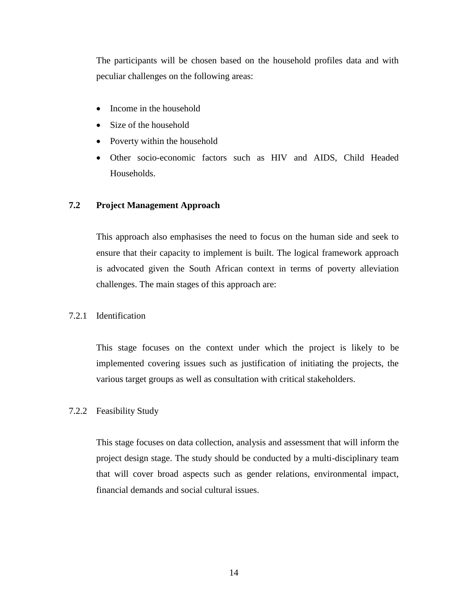The participants will be chosen based on the household profiles data and with peculiar challenges on the following areas:

- Income in the household
- Size of the household
- Poverty within the household
- Other socio-economic factors such as HIV and AIDS, Child Headed Households.

## **7.2 Project Management Approach**

This approach also emphasises the need to focus on the human side and seek to ensure that their capacity to implement is built. The logical framework approach is advocated given the South African context in terms of poverty alleviation challenges. The main stages of this approach are:

7.2.1 Identification

This stage focuses on the context under which the project is likely to be implemented covering issues such as justification of initiating the projects, the various target groups as well as consultation with critical stakeholders.

#### 7.2.2 Feasibility Study

This stage focuses on data collection, analysis and assessment that will inform the project design stage. The study should be conducted by a multi-disciplinary team that will cover broad aspects such as gender relations, environmental impact, financial demands and social cultural issues.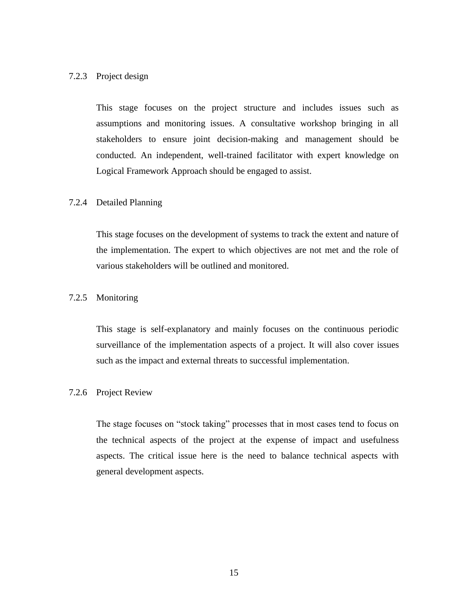#### 7.2.3 Project design

This stage focuses on the project structure and includes issues such as assumptions and monitoring issues. A consultative workshop bringing in all stakeholders to ensure joint decision-making and management should be conducted. An independent, well-trained facilitator with expert knowledge on Logical Framework Approach should be engaged to assist.

#### 7.2.4 Detailed Planning

This stage focuses on the development of systems to track the extent and nature of the implementation. The expert to which objectives are not met and the role of various stakeholders will be outlined and monitored.

## 7.2.5 Monitoring

This stage is self-explanatory and mainly focuses on the continuous periodic surveillance of the implementation aspects of a project. It will also cover issues such as the impact and external threats to successful implementation.

#### 7.2.6 Project Review

The stage focuses on "stock taking" processes that in most cases tend to focus on the technical aspects of the project at the expense of impact and usefulness aspects. The critical issue here is the need to balance technical aspects with general development aspects.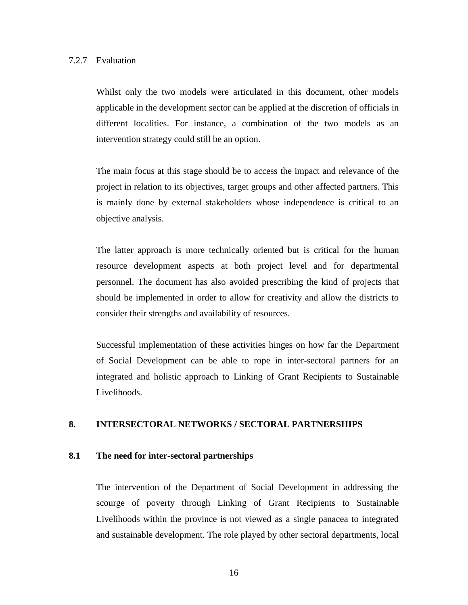#### 7.2.7 Evaluation

Whilst only the two models were articulated in this document, other models applicable in the development sector can be applied at the discretion of officials in different localities. For instance, a combination of the two models as an intervention strategy could still be an option.

The main focus at this stage should be to access the impact and relevance of the project in relation to its objectives, target groups and other affected partners. This is mainly done by external stakeholders whose independence is critical to an objective analysis.

The latter approach is more technically oriented but is critical for the human resource development aspects at both project level and for departmental personnel. The document has also avoided prescribing the kind of projects that should be implemented in order to allow for creativity and allow the districts to consider their strengths and availability of resources.

Successful implementation of these activities hinges on how far the Department of Social Development can be able to rope in inter-sectoral partners for an integrated and holistic approach to Linking of Grant Recipients to Sustainable Livelihoods.

### **8. INTERSECTORAL NETWORKS / SECTORAL PARTNERSHIPS**

#### **8.1 The need for inter-sectoral partnerships**

The intervention of the Department of Social Development in addressing the scourge of poverty through Linking of Grant Recipients to Sustainable Livelihoods within the province is not viewed as a single panacea to integrated and sustainable development. The role played by other sectoral departments, local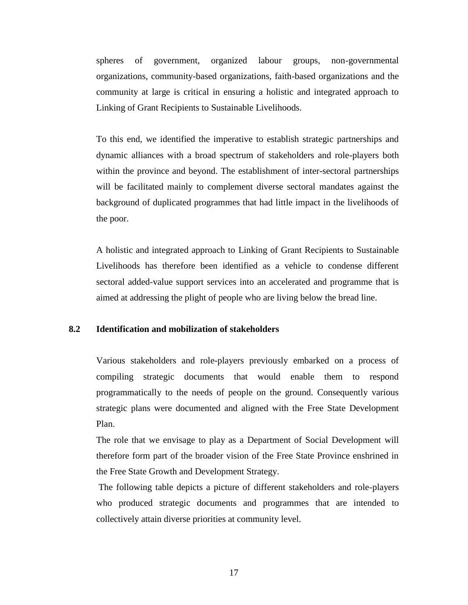spheres of government, organized labour groups, non-governmental organizations, community-based organizations, faith-based organizations and the community at large is critical in ensuring a holistic and integrated approach to Linking of Grant Recipients to Sustainable Livelihoods.

To this end, we identified the imperative to establish strategic partnerships and dynamic alliances with a broad spectrum of stakeholders and role-players both within the province and beyond. The establishment of inter-sectoral partnerships will be facilitated mainly to complement diverse sectoral mandates against the background of duplicated programmes that had little impact in the livelihoods of the poor.

A holistic and integrated approach to Linking of Grant Recipients to Sustainable Livelihoods has therefore been identified as a vehicle to condense different sectoral added-value support services into an accelerated and programme that is aimed at addressing the plight of people who are living below the bread line.

## **8.2 Identification and mobilization of stakeholders**

Various stakeholders and role-players previously embarked on a process of compiling strategic documents that would enable them to respond programmatically to the needs of people on the ground. Consequently various strategic plans were documented and aligned with the Free State Development Plan.

The role that we envisage to play as a Department of Social Development will therefore form part of the broader vision of the Free State Province enshrined in the Free State Growth and Development Strategy.

The following table depicts a picture of different stakeholders and role-players who produced strategic documents and programmes that are intended to collectively attain diverse priorities at community level.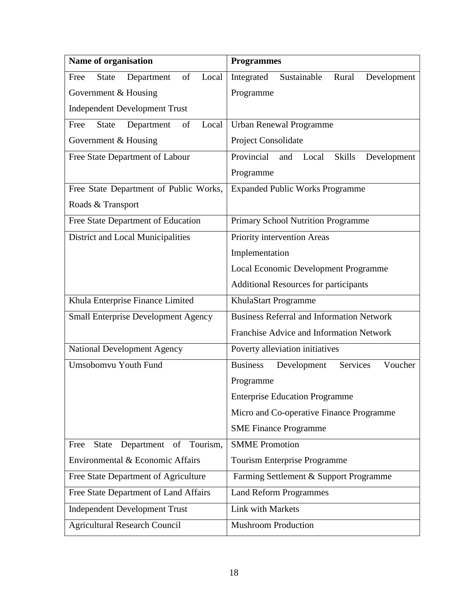| Name of organisation                              | <b>Programmes</b>                                          |  |  |  |  |
|---------------------------------------------------|------------------------------------------------------------|--|--|--|--|
| Department<br>of<br>Local<br><b>State</b><br>Free | Integrated<br>Sustainable<br>Rural<br>Development          |  |  |  |  |
| Government & Housing                              | Programme                                                  |  |  |  |  |
| <b>Independent Development Trust</b>              |                                                            |  |  |  |  |
| of<br>Local<br>Free<br><b>State</b><br>Department | <b>Urban Renewal Programme</b>                             |  |  |  |  |
| Government & Housing                              | Project Consolidate                                        |  |  |  |  |
| Free State Department of Labour                   | Provincial<br><b>Skills</b><br>Local<br>Development<br>and |  |  |  |  |
|                                                   | Programme                                                  |  |  |  |  |
| Free State Department of Public Works,            | <b>Expanded Public Works Programme</b>                     |  |  |  |  |
| Roads & Transport                                 |                                                            |  |  |  |  |
| Free State Department of Education                | Primary School Nutrition Programme                         |  |  |  |  |
| District and Local Municipalities                 | Priority intervention Areas                                |  |  |  |  |
|                                                   | Implementation                                             |  |  |  |  |
|                                                   | Local Economic Development Programme                       |  |  |  |  |
|                                                   | <b>Additional Resources for participants</b>               |  |  |  |  |
| Khula Enterprise Finance Limited                  | KhulaStart Programme                                       |  |  |  |  |
| <b>Small Enterprise Development Agency</b>        | <b>Business Referral and Information Network</b>           |  |  |  |  |
|                                                   | Franchise Advice and Information Network                   |  |  |  |  |
| <b>National Development Agency</b>                | Poverty alleviation initiatives                            |  |  |  |  |
| Umsobomvu Youth Fund                              | <b>Business</b><br>Services<br>Development<br>Voucher      |  |  |  |  |
|                                                   | Programme                                                  |  |  |  |  |
|                                                   | <b>Enterprise Education Programme</b>                      |  |  |  |  |
|                                                   | Micro and Co-operative Finance Programme                   |  |  |  |  |
|                                                   | <b>SME Finance Programme</b>                               |  |  |  |  |
| of Tourism,<br>Free<br>Department<br><b>State</b> | <b>SMME</b> Promotion                                      |  |  |  |  |
| Environmental & Economic Affairs                  | Tourism Enterprise Programme                               |  |  |  |  |
| Free State Department of Agriculture              | Farming Settlement & Support Programme                     |  |  |  |  |
| Free State Department of Land Affairs             | <b>Land Reform Programmes</b>                              |  |  |  |  |
| <b>Independent Development Trust</b>              | Link with Markets                                          |  |  |  |  |
| <b>Agricultural Research Council</b>              | <b>Mushroom Production</b>                                 |  |  |  |  |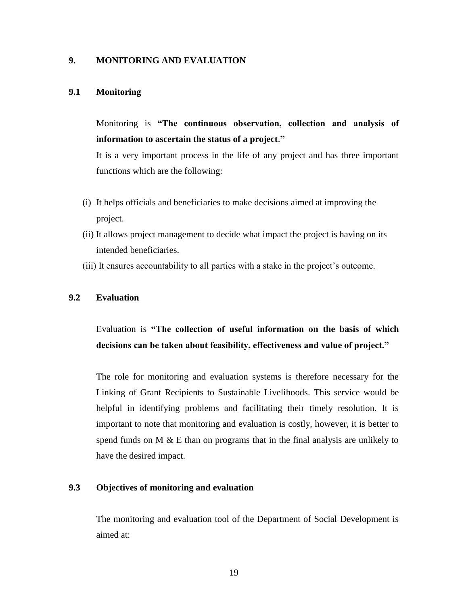## **9. MONITORING AND EVALUATION**

#### **9.1 Monitoring**

Monitoring is **"The continuous observation, collection and analysis of information to ascertain the status of a project**.**"** 

It is a very important process in the life of any project and has three important functions which are the following:

- (i) It helps officials and beneficiaries to make decisions aimed at improving the project.
- (ii) It allows project management to decide what impact the project is having on its intended beneficiaries.
- (iii) It ensures accountability to all parties with a stake in the project's outcome.

## **9.2 Evaluation**

Evaluation is **"The collection of useful information on the basis of which decisions can be taken about feasibility, effectiveness and value of project."**

The role for monitoring and evaluation systems is therefore necessary for the Linking of Grant Recipients to Sustainable Livelihoods. This service would be helpful in identifying problems and facilitating their timely resolution. It is important to note that monitoring and evaluation is costly, however, it is better to spend funds on  $M \& E$  than on programs that in the final analysis are unlikely to have the desired impact.

## **9.3 Objectives of monitoring and evaluation**

The monitoring and evaluation tool of the Department of Social Development is aimed at: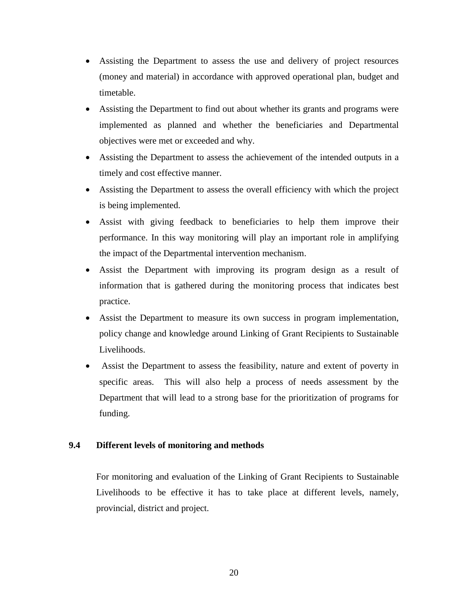- Assisting the Department to assess the use and delivery of project resources (money and material) in accordance with approved operational plan, budget and timetable.
- Assisting the Department to find out about whether its grants and programs were implemented as planned and whether the beneficiaries and Departmental objectives were met or exceeded and why.
- Assisting the Department to assess the achievement of the intended outputs in a timely and cost effective manner.
- Assisting the Department to assess the overall efficiency with which the project is being implemented.
- Assist with giving feedback to beneficiaries to help them improve their performance. In this way monitoring will play an important role in amplifying the impact of the Departmental intervention mechanism.
- Assist the Department with improving its program design as a result of information that is gathered during the monitoring process that indicates best practice.
- Assist the Department to measure its own success in program implementation, policy change and knowledge around Linking of Grant Recipients to Sustainable Livelihoods.
- Assist the Department to assess the feasibility, nature and extent of poverty in specific areas. This will also help a process of needs assessment by the Department that will lead to a strong base for the prioritization of programs for funding.

## **9.4 Different levels of monitoring and methods**

For monitoring and evaluation of the Linking of Grant Recipients to Sustainable Livelihoods to be effective it has to take place at different levels, namely, provincial, district and project.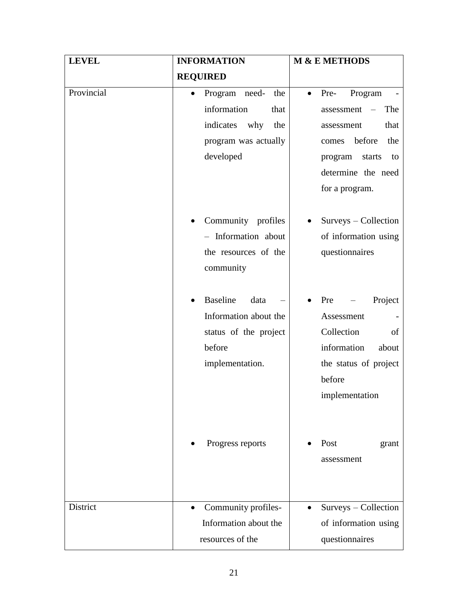| <b>LEVEL</b> | <b>INFORMATION</b>                                                                                                    | M & E METHODS                                                                                                                                                                                    |  |
|--------------|-----------------------------------------------------------------------------------------------------------------------|--------------------------------------------------------------------------------------------------------------------------------------------------------------------------------------------------|--|
|              | <b>REQUIRED</b>                                                                                                       |                                                                                                                                                                                                  |  |
| Provincial   | Program need- the<br>$\bullet$<br>information<br>that<br>indicates<br>why<br>the<br>program was actually<br>developed | Program<br>Pre-<br>$\bullet$<br>The<br>assessment<br>$\overline{\phantom{0}}$<br>that<br>assessment<br>before<br>the<br>comes<br>starts<br>program<br>to<br>determine the need<br>for a program. |  |
|              | Community profiles<br>$\bullet$<br>- Information about<br>the resources of the<br>community                           | Surveys - Collection<br>of information using<br>questionnaires                                                                                                                                   |  |
|              | <b>Baseline</b><br>data<br>Information about the<br>status of the project<br>before<br>implementation.                | Project<br>Pre<br>Assessment<br>Collection<br>of<br>information<br>about<br>the status of project<br>before<br>implementation                                                                    |  |
|              | Progress reports                                                                                                      | Post<br>grant<br>assessment                                                                                                                                                                      |  |
| District     | Community profiles-<br>$\bullet$<br>Information about the<br>resources of the                                         | Surveys - Collection<br>$\bullet$<br>of information using<br>questionnaires                                                                                                                      |  |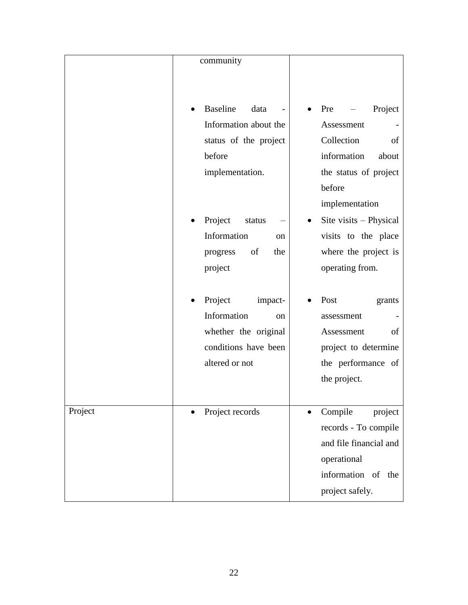|         | community                                                                                                                                                                            |                                                                                                                                                                                                                                        |
|---------|--------------------------------------------------------------------------------------------------------------------------------------------------------------------------------------|----------------------------------------------------------------------------------------------------------------------------------------------------------------------------------------------------------------------------------------|
|         |                                                                                                                                                                                      |                                                                                                                                                                                                                                        |
|         | <b>Baseline</b><br>data<br>Information about the<br>status of the project<br>before<br>implementation.<br>Project<br>status<br>Information<br>on<br>of<br>the<br>progress<br>project | Project<br>Pre<br>Assessment<br>Collection<br>of<br>information<br>about<br>the status of project<br>before<br>implementation<br>Site visits - Physical<br>$\bullet$<br>visits to the place<br>where the project is<br>operating from. |
|         | Project<br>impact-<br>Information<br>on<br>whether the original<br>conditions have been<br>altered or not                                                                            | Post<br>grants<br>assessment<br>Assessment<br>of<br>project to determine<br>the performance of<br>the project.                                                                                                                         |
| Project | Project records                                                                                                                                                                      | Compile<br>project<br>records - To compile<br>and file financial and<br>operational<br>information of<br>the<br>project safely.                                                                                                        |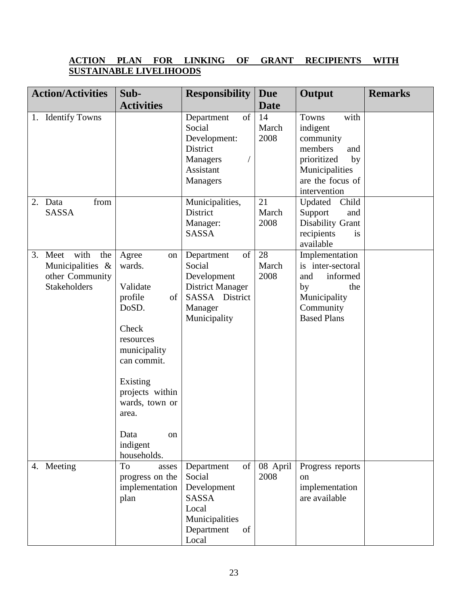## **ACTION PLAN FOR LINKING OF GRANT RECIPIENTS WITH SUSTAINABLE LIVELIHOODS**

| <b>Action/Activities</b>                                                             | Sub-                                                                                                                                                                                                                | <b>Responsibility</b>                                                                                             | <b>Due</b>          | Output                                                                                                                              | <b>Remarks</b> |
|--------------------------------------------------------------------------------------|---------------------------------------------------------------------------------------------------------------------------------------------------------------------------------------------------------------------|-------------------------------------------------------------------------------------------------------------------|---------------------|-------------------------------------------------------------------------------------------------------------------------------------|----------------|
|                                                                                      | <b>Activities</b>                                                                                                                                                                                                   |                                                                                                                   | <b>Date</b>         |                                                                                                                                     |                |
| 1. Identify Towns                                                                    |                                                                                                                                                                                                                     | of<br>Department<br>Social<br>Development:<br>District<br><b>Managers</b><br>Assistant<br>Managers                | 14<br>March<br>2008 | with<br>Towns<br>indigent<br>community<br>members<br>and<br>prioritized<br>by<br>Municipalities<br>are the focus of<br>intervention |                |
| from<br>2. Data<br><b>SASSA</b>                                                      |                                                                                                                                                                                                                     | Municipalities,<br>District<br>Manager:<br><b>SASSA</b>                                                           | 21<br>March<br>2008 | Updated<br>Child<br>Support<br>and<br>Disability Grant<br>recipients<br>is<br>available                                             |                |
| with<br>3. Meet<br>the<br>Municipalities &<br>other Community<br><b>Stakeholders</b> | Agree<br>on<br>wards.<br>Validate<br>of<br>profile<br>DoSD.<br>Check<br>resources<br>municipality<br>can commit.<br>Existing<br>projects within<br>wards, town or<br>area.<br>Data<br>on<br>indigent<br>households. | of<br>Department<br>Social<br>Development<br><b>District Manager</b><br>SASSA District<br>Manager<br>Municipality | 28<br>March<br>2008 | Implementation<br>is inter-sectoral<br>informed<br>and<br>by<br>the<br>Municipality<br>Community<br><b>Based Plans</b>              |                |
| 4. Meeting                                                                           | To<br>asses<br>progress on the<br>implementation<br>plan                                                                                                                                                            | Department<br>of<br>Social<br>Development<br><b>SASSA</b><br>Local<br>Municipalities<br>Department<br>of<br>Local | 08 April<br>2008    | Progress reports<br>on<br>implementation<br>are available                                                                           |                |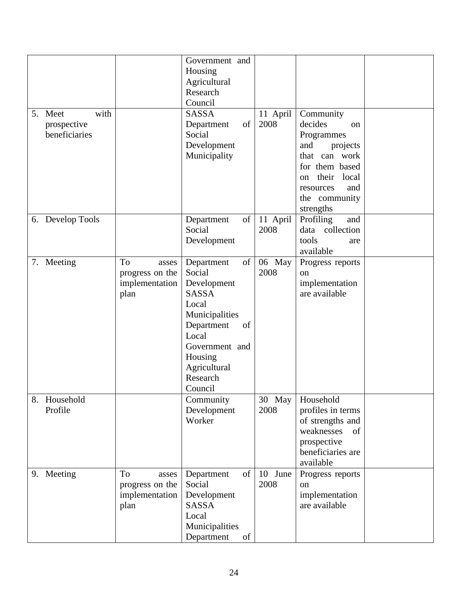|                  |                 | Government and   |          |                                 |  |
|------------------|-----------------|------------------|----------|---------------------------------|--|
|                  |                 | Housing          |          |                                 |  |
|                  |                 | Agricultural     |          |                                 |  |
|                  |                 | Research         |          |                                 |  |
|                  |                 | Council          |          |                                 |  |
| with<br>5. Meet  |                 | <b>SASSA</b>     | 11 April | Community                       |  |
| prospective      |                 | of<br>Department | 2008     | decides<br><sub>on</sub>        |  |
| beneficiaries    |                 | Social           |          | Programmes                      |  |
|                  |                 | Development      |          | and<br>projects                 |  |
|                  |                 | Municipality     |          | that can work                   |  |
|                  |                 |                  |          | for them based                  |  |
|                  |                 |                  |          | local<br>their<br><sub>on</sub> |  |
|                  |                 |                  |          | and<br>resources                |  |
|                  |                 |                  |          | the community                   |  |
|                  |                 |                  |          | strengths                       |  |
| 6. Develop Tools |                 | of<br>Department | 11 April | Profiling<br>and                |  |
|                  |                 | Social           | 2008     | data collection                 |  |
|                  |                 | Development      |          | tools<br>are                    |  |
|                  |                 |                  |          | available                       |  |
| 7. Meeting       | To<br>asses     | of<br>Department | 06 May   | Progress reports                |  |
|                  | progress on the | Social           | 2008     | <sub>on</sub>                   |  |
|                  | implementation  | Development      |          | implementation                  |  |
|                  | plan            | <b>SASSA</b>     |          | are available                   |  |
|                  |                 | Local            |          |                                 |  |
|                  |                 | Municipalities   |          |                                 |  |
|                  |                 | Department<br>of |          |                                 |  |
|                  |                 | Local            |          |                                 |  |
|                  |                 | Government and   |          |                                 |  |
|                  |                 | Housing          |          |                                 |  |
|                  |                 | Agricultural     |          |                                 |  |
|                  |                 | Research         |          |                                 |  |
|                  |                 | Council          |          |                                 |  |
| 8. Household     |                 | Community        | 30 May   | Household                       |  |
| Profile          |                 | Development      | 2008     | profiles in terms               |  |
|                  |                 | Worker           |          | of strengths and                |  |
|                  |                 |                  |          | weaknesses<br>of                |  |
|                  |                 |                  |          | prospective                     |  |
|                  |                 |                  |          | beneficiaries are               |  |
|                  |                 |                  |          | available                       |  |
| 9. Meeting       | To<br>asses     | of<br>Department | 10 June  | Progress reports                |  |
|                  | progress on the | Social           | 2008     | on                              |  |
|                  | implementation  | Development      |          | implementation                  |  |
|                  | plan            | SASSA            |          | are available                   |  |
|                  |                 | Local            |          |                                 |  |
|                  |                 | Municipalities   |          |                                 |  |
|                  |                 | Department<br>of |          |                                 |  |
|                  |                 |                  |          |                                 |  |